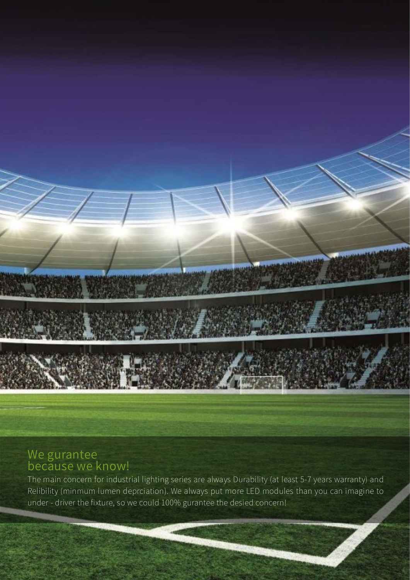## We gurantee because we know!

The main concern for industrial lighting series are always Durability (at least 5-7 years warranty) and Relibility (minmum lumen deprciation). We always put more LED modules than you can imagine to under - driver the fixture, so we could 100% gurantee the desied concern!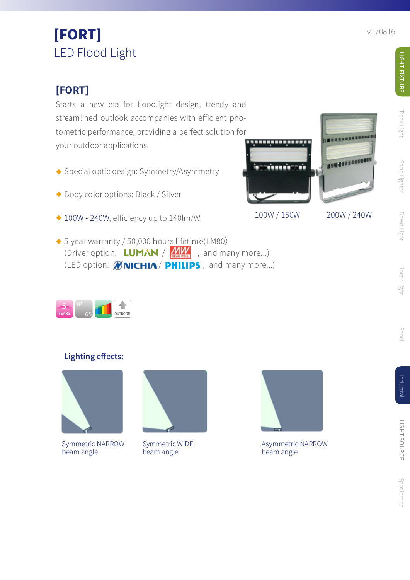## **[FORT]**

Starts a new era for floodlight design, trendy and streamlined outlook accompanies with efficient photometric performance, providing a perfect solution for<br>examples condications your outdoor applications.

- $\blacklozenge$  Special optic design: Symmetry/Asymmetry
- ◆ Body color options: Black / Silver
- $\blacklozenge$  100W 240W, efficiency up to 140lm/W
- ◆ 5 year warranty / 50,000 hour<u>s lifeti</u>me(LM80) (Driver option:  $LUM/N$  /  $MW$ , and many more...) (LED option:  $\mathcal{O}(N)$   $CHIA/PHILIPS$ , and many more...)



## Lighting effects:



Symmetric NARROW beam angle



Symmetric WIDE beam angle



100W / 150W 200W / 240W

**ASSESSMENT** 

Asymmetric NARROW beam angle

Track Light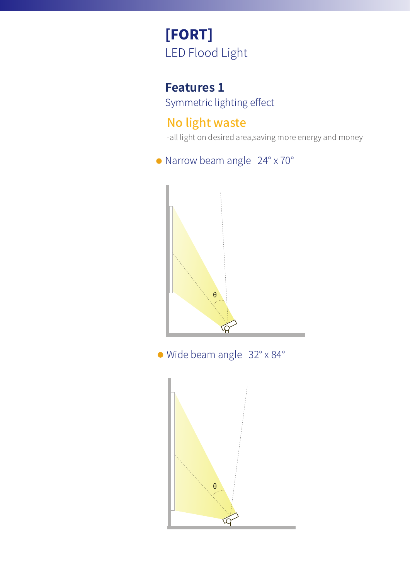## **Features 1**

Symmetric lighting effect

## No light waste

-all light on desired area,saving more energy and money

## Narrow beam angle 24° x 70°



Wide beam angle 32° x 84°

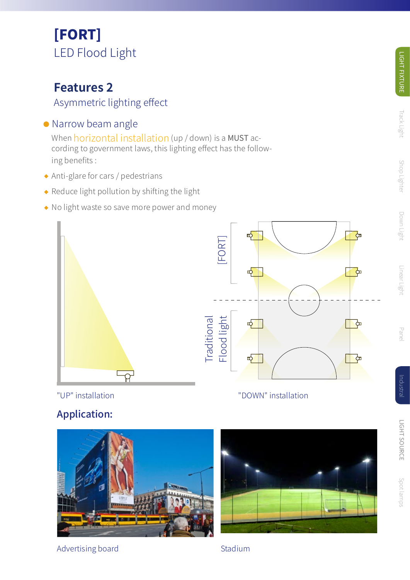## **Features 2**

## Asymmetric lighting effect

## • Narrow beam angle

When <mark>horizontal installation</mark> (up / down) is a MUST according to government laws, this lighting effect has the follow ing benefits :

- Anti-glare for cars / pedestrians
- $\triangle$  Reduce light pollution by shifting the light
- ◆ No light waste so save more power and money



"UP" installation "DOWN" installation

# Application:



Advertising board Stadium



Linear Light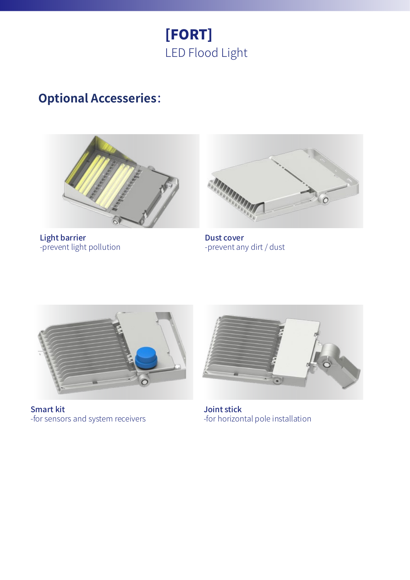

## **Optional Accesseries**:



Light barrier -prevent light pollution



Dust cover -prevent any dirt / dust



Smart kit -for sensors and system receivers



Joint stick -for horizontal pole installation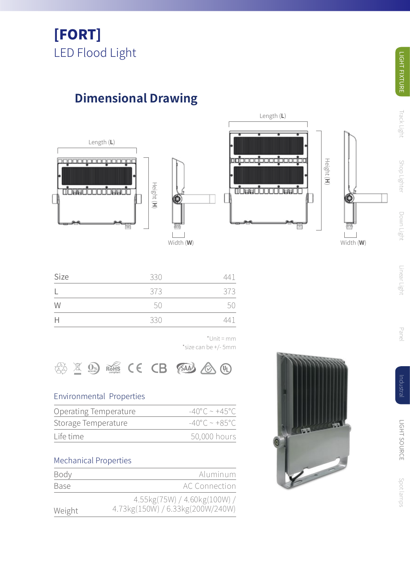# **Dimensional Drawing**







| Height (H |           |
|-----------|-----------|
|           |           |
|           |           |
|           |           |
|           | Width (W) |

| Size | 330 | 441 |
|------|-----|-----|
| L    | 373 | 373 |
| W    | 50  | 50  |
| H    | 330 | 441 |



## Environmental Properties

| VV                                                    | .5U | ЭU                                    |
|-------------------------------------------------------|-----|---------------------------------------|
| H                                                     | 330 | 441                                   |
|                                                       |     | $*$ Unit = mm<br>*size can be +/- 5mm |
| $\left(\bigcircright_{\text{WENOMI}}$<br>$\mathbb{X}$ |     | ROHS CE CB SAAS @ (1)                 |
| <b>Environmental Properties</b>                       |     |                                       |
| Operating Temperature                                 |     | $-40^{\circ}$ C ~ +45 $^{\circ}$ C    |
| Storage Temperature                                   |     | $-40^{\circ}$ C ~ +85 $^{\circ}$ C    |
| Life time                                             |     | 50,000 hours                          |
| <b>Mechanical Properties</b>                          |     |                                       |

| Body        | Aluminum                         |
|-------------|----------------------------------|
| <b>Base</b> | AC Connection                    |
|             | 4.55kg(75W) / 4.60kg(100W) /     |
| Weight      | 4.73kg(150W) / 6.33kg(200W/240W) |



**Track Light**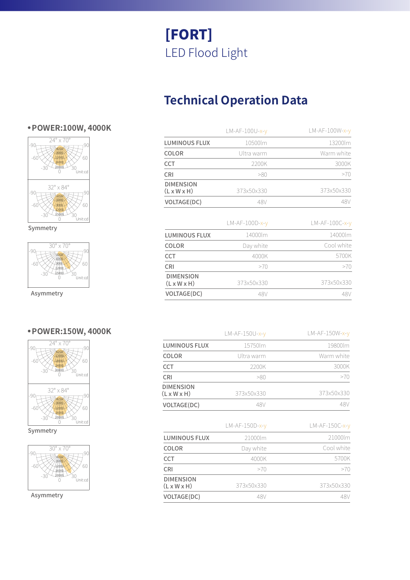# **Technical Operation Data**

|                                             | LM-AF-100U-x-v | LM-AF-100W-x-y   |
|---------------------------------------------|----------------|------------------|
| <b>LUMINOUS FLUX</b>                        | 10500lm        | 13200lm          |
| COLOR                                       | Ultra warm     | Warm white       |
| CCT                                         | 2200K          | 3000K            |
| <b>CRI</b>                                  | >80            | >70              |
| <b>DIMENSION</b><br>$(L \times W \times H)$ | 373x50x330     | 373x50x330       |
| VOLTAGE(DC)                                 | 48V            | 48V              |
|                                             | LM-AF-100D-x-v | $LM-AF-100C-x-v$ |
| <b>LUMINOUS FLUX</b>                        | 14000lm        | 14000lm          |
| <b>COLOR</b>                                | Day white      | Cool white       |
| <b>CCT</b>                                  | 4000K          | 5700K            |
| <b>CRI</b>                                  | >70            | >70              |
|                                             |                |                  |
| <b>DIMENSION</b><br>$(L \times W \times H)$ | 373x50x330     | 373x50x330       |

|                                             | $LM-AF-150U-x-y$ | $LM-AF-150W-x-y$ |
|---------------------------------------------|------------------|------------------|
| <b>LUMINOUS FLUX</b>                        | 15750lm          | 19800lm          |
| COLOR                                       | Ultra warm       | Warm white       |
| CCT                                         | 2200K            | 3000K            |
| CRI                                         | >80              | >70              |
| <b>DIMENSION</b><br>$(L \times W \times H)$ | 373x50x330       | 373x50x330       |
| VOLTAGE(DC)                                 | 48V              | 48V              |
|                                             |                  |                  |

|                                             | $LM-AF-150D-x-y$ | $LM-AF-150C-x-y$ |
|---------------------------------------------|------------------|------------------|
| <b>LUMINOUS FLUX</b>                        | 21000lm          | 21000lm          |
| COLOR                                       | Day white        | Cool white       |
| CCT                                         | 4000K            | 5700K            |
| CRI                                         | >70              | >70              |
| <b>DIMENSION</b><br>$(L \times W \times H)$ | 373x50x330       | 373x50x330       |
| <b>VOLTAGE(DC)</b>                          | 48 V             |                  |

## **● POWER:100W, 4000K**



Symmetry



Asymmetry

### **● POWER:150W, 4000K**



Symmetry



Asymmetry